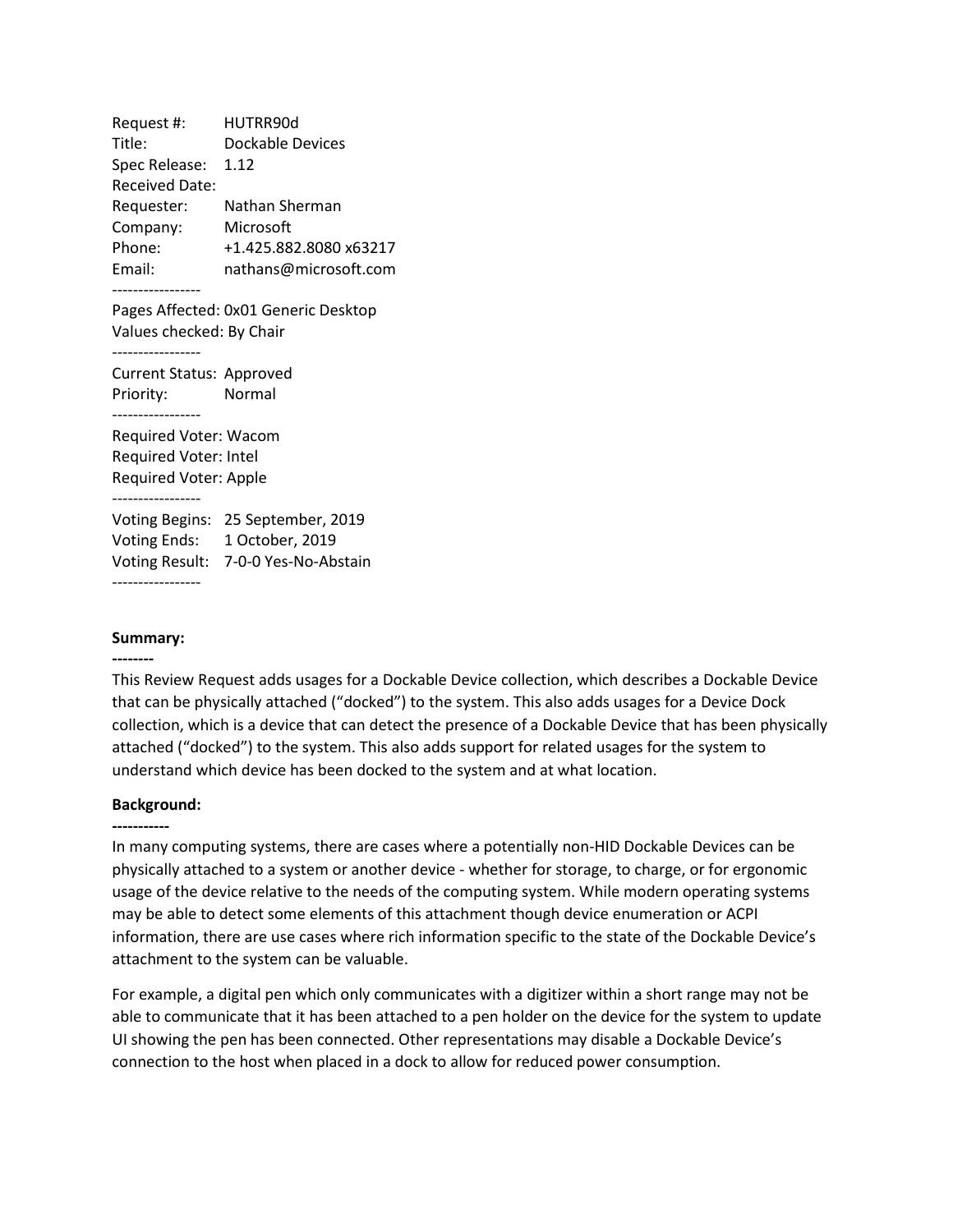Request #: HUTRR90d Title: Dockable Devices Spec Release: 1.12 Received Date: Requester: Nathan Sherman Company: Microsoft Phone: +1.425.882.8080 x63217 Email: nathans@microsoft.com ----------------- Pages Affected: 0x01 Generic Desktop Values checked: By Chair ----------------- Current Status: Approved Priority: Normal ----------------- Required Voter: Wacom Required Voter: Intel Required Voter: Apple ----------------- Voting Begins: 25 September, 2019 Voting Ends: 1 October, 2019 Voting Result: 7-0-0 Yes-No-Abstain -----------------

## **Summary:**

**--------**

This Review Request adds usages for a Dockable Device collection, which describes a Dockable Device that can be physically attached ("docked") to the system. This also adds usages for a Device Dock collection, which is a device that can detect the presence of a Dockable Device that has been physically attached ("docked") to the system. This also adds support for related usages for the system to understand which device has been docked to the system and at what location.

### **Background:**

### **-----------**

In many computing systems, there are cases where a potentially non-HID Dockable Devices can be physically attached to a system or another device - whether for storage, to charge, or for ergonomic usage of the device relative to the needs of the computing system. While modern operating systems may be able to detect some elements of this attachment though device enumeration or ACPI information, there are use cases where rich information specific to the state of the Dockable Device's attachment to the system can be valuable.

For example, a digital pen which only communicates with a digitizer within a short range may not be able to communicate that it has been attached to a pen holder on the device for the system to update UI showing the pen has been connected. Other representations may disable a Dockable Device's connection to the host when placed in a dock to allow for reduced power consumption.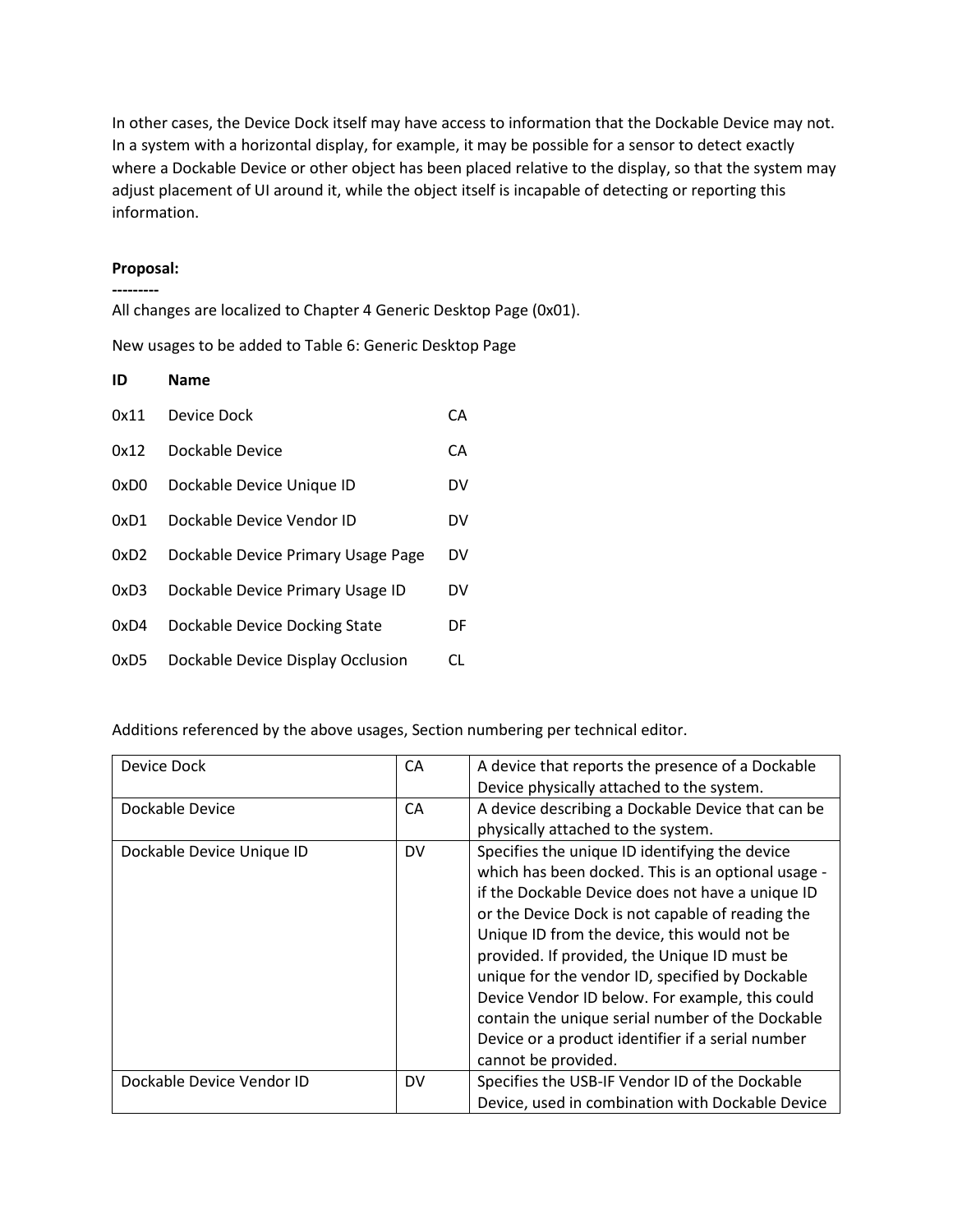In other cases, the Device Dock itself may have access to information that the Dockable Device may not. In a system with a horizontal display, for example, it may be possible for a sensor to detect exactly where a Dockable Device or other object has been placed relative to the display, so that the system may adjust placement of UI around it, while the object itself is incapable of detecting or reporting this information.

## **Proposal: ---------**

All changes are localized to Chapter 4 Generic Desktop Page (0x01).

New usages to be added to Table 6: Generic Desktop Page

| ID   | <b>Name</b>                        |    |
|------|------------------------------------|----|
| 0x11 | Device Dock                        | CА |
| 0x12 | Dockable Device                    | CA |
| 0xD0 | Dockable Device Unique ID          | DV |
| 0xD1 | Dockable Device Vendor ID          | DV |
| 0xD2 | Dockable Device Primary Usage Page | DV |
| 0xD3 | Dockable Device Primary Usage ID   | DV |
| 0xD4 | Dockable Device Docking State      | DF |
| 0xD5 | Dockable Device Display Occlusion  | CL |

Additions referenced by the above usages, Section numbering per technical editor.

| Device Dock               | CA<br>A device that reports the presence of a Dockable |                                                                                                                                                                                                                                                                                                                                                                                                                    |
|---------------------------|--------------------------------------------------------|--------------------------------------------------------------------------------------------------------------------------------------------------------------------------------------------------------------------------------------------------------------------------------------------------------------------------------------------------------------------------------------------------------------------|
|                           |                                                        | Device physically attached to the system.                                                                                                                                                                                                                                                                                                                                                                          |
| Dockable Device           | CA                                                     | A device describing a Dockable Device that can be                                                                                                                                                                                                                                                                                                                                                                  |
|                           |                                                        | physically attached to the system.                                                                                                                                                                                                                                                                                                                                                                                 |
| Dockable Device Unique ID | <b>DV</b>                                              | Specifies the unique ID identifying the device<br>which has been docked. This is an optional usage -<br>if the Dockable Device does not have a unique ID<br>or the Device Dock is not capable of reading the<br>Unique ID from the device, this would not be<br>provided. If provided, the Unique ID must be<br>unique for the vendor ID, specified by Dockable<br>Device Vendor ID below. For example, this could |
|                           |                                                        | contain the unique serial number of the Dockable                                                                                                                                                                                                                                                                                                                                                                   |
|                           |                                                        | Device or a product identifier if a serial number                                                                                                                                                                                                                                                                                                                                                                  |
|                           |                                                        | cannot be provided.                                                                                                                                                                                                                                                                                                                                                                                                |
| Dockable Device Vendor ID | <b>DV</b>                                              | Specifies the USB-IF Vendor ID of the Dockable                                                                                                                                                                                                                                                                                                                                                                     |
|                           |                                                        | Device, used in combination with Dockable Device                                                                                                                                                                                                                                                                                                                                                                   |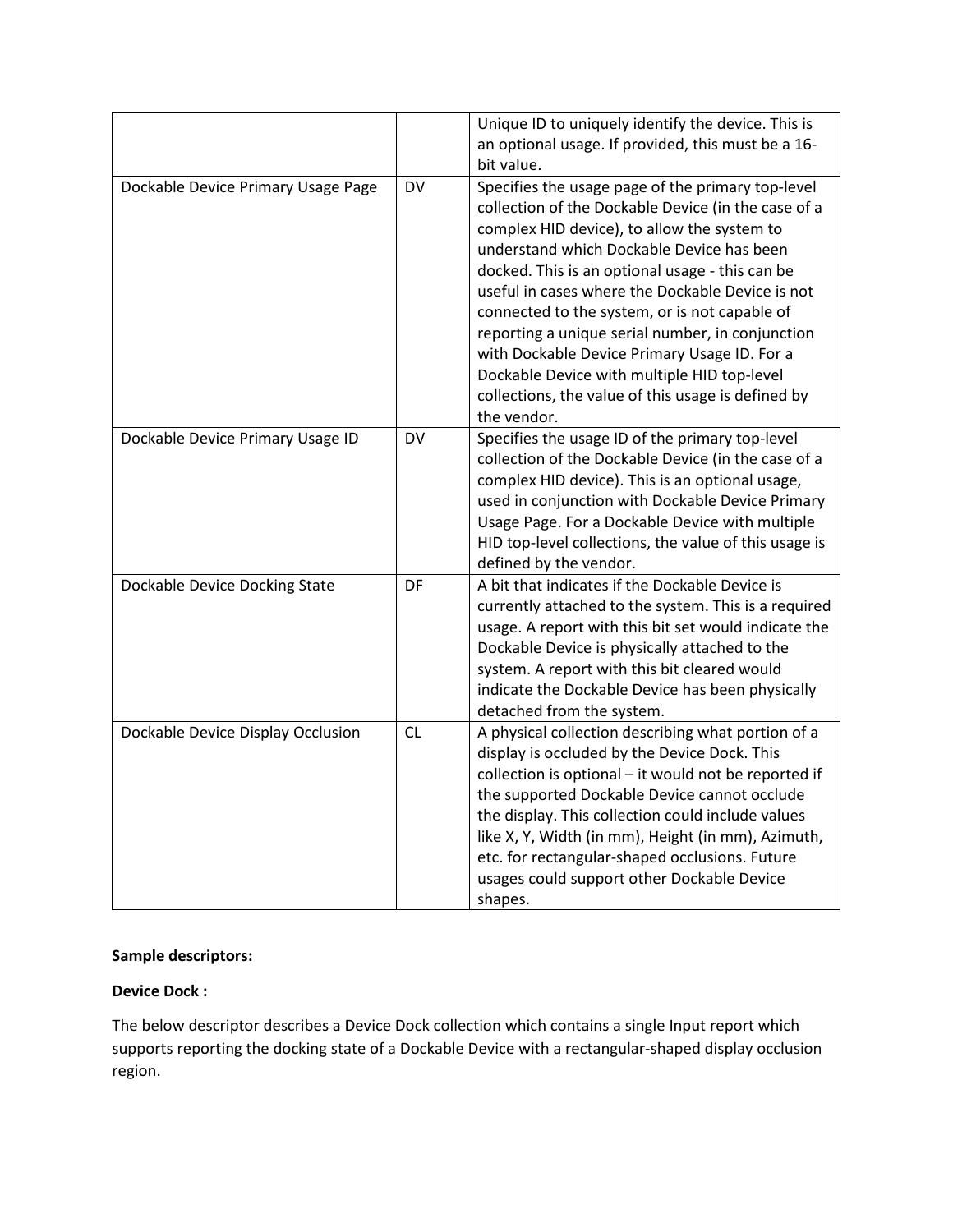|                                    |           | Unique ID to uniquely identify the device. This is<br>an optional usage. If provided, this must be a 16-<br>bit value.                                                                                                                                                                                                                                                                                                                                                                                                                                                               |
|------------------------------------|-----------|--------------------------------------------------------------------------------------------------------------------------------------------------------------------------------------------------------------------------------------------------------------------------------------------------------------------------------------------------------------------------------------------------------------------------------------------------------------------------------------------------------------------------------------------------------------------------------------|
| Dockable Device Primary Usage Page | DV        | Specifies the usage page of the primary top-level<br>collection of the Dockable Device (in the case of a<br>complex HID device), to allow the system to<br>understand which Dockable Device has been<br>docked. This is an optional usage - this can be<br>useful in cases where the Dockable Device is not<br>connected to the system, or is not capable of<br>reporting a unique serial number, in conjunction<br>with Dockable Device Primary Usage ID. For a<br>Dockable Device with multiple HID top-level<br>collections, the value of this usage is defined by<br>the vendor. |
| Dockable Device Primary Usage ID   | <b>DV</b> | Specifies the usage ID of the primary top-level<br>collection of the Dockable Device (in the case of a<br>complex HID device). This is an optional usage,<br>used in conjunction with Dockable Device Primary<br>Usage Page. For a Dockable Device with multiple<br>HID top-level collections, the value of this usage is<br>defined by the vendor.                                                                                                                                                                                                                                  |
| Dockable Device Docking State      | DF        | A bit that indicates if the Dockable Device is<br>currently attached to the system. This is a required<br>usage. A report with this bit set would indicate the<br>Dockable Device is physically attached to the<br>system. A report with this bit cleared would<br>indicate the Dockable Device has been physically<br>detached from the system.                                                                                                                                                                                                                                     |
| Dockable Device Display Occlusion  | CL        | A physical collection describing what portion of a<br>display is occluded by the Device Dock. This<br>collection is optional - it would not be reported if<br>the supported Dockable Device cannot occlude<br>the display. This collection could include values<br>like X, Y, Width (in mm), Height (in mm), Azimuth,<br>etc. for rectangular-shaped occlusions. Future<br>usages could support other Dockable Device<br>shapes.                                                                                                                                                     |

# **Sample descriptors:**

# **Device Dock :**

The below descriptor describes a Device Dock collection which contains a single Input report which supports reporting the docking state of a Dockable Device with a rectangular-shaped display occlusion region.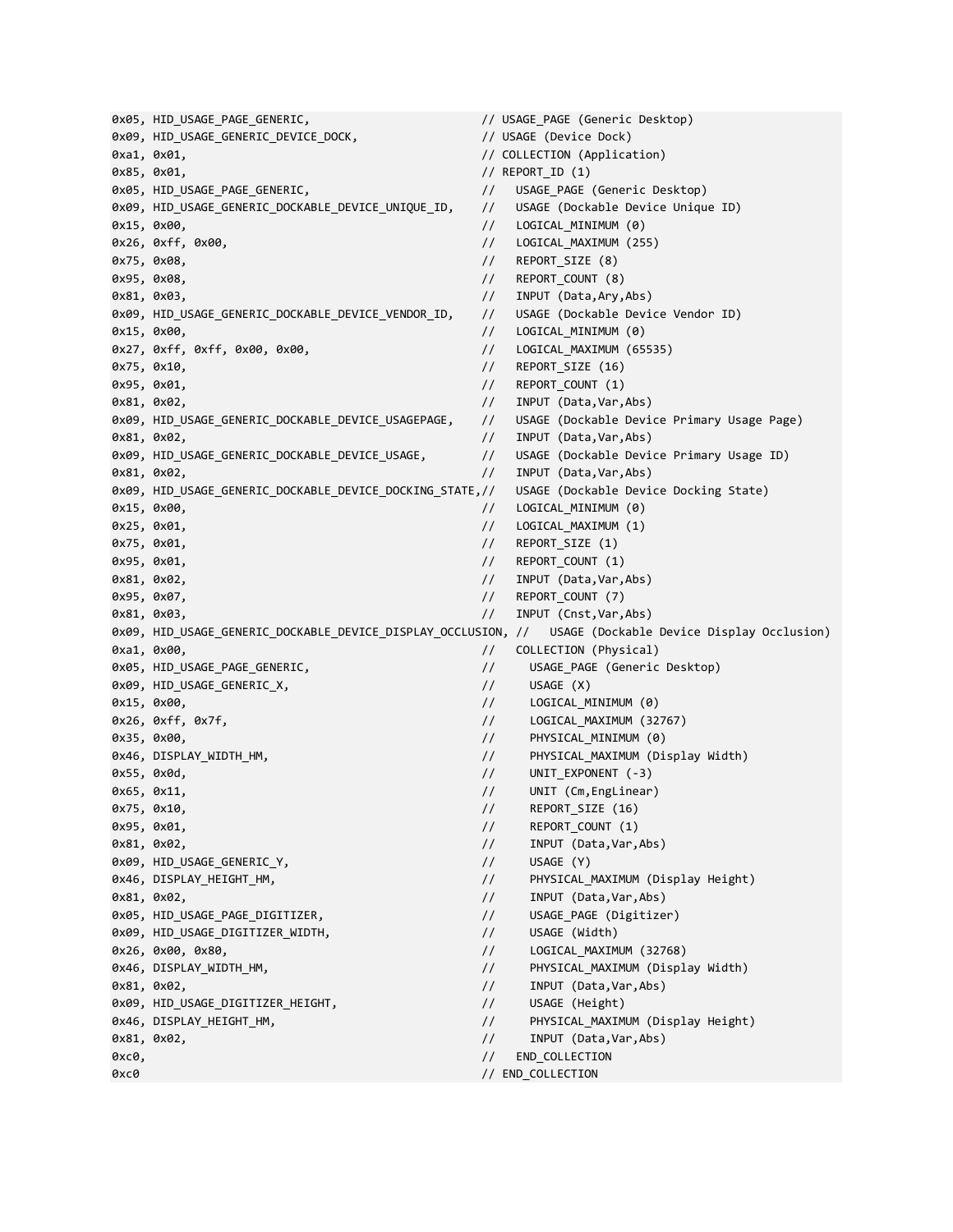0x05, HID USAGE PAGE GENERIC,  $\frac{1}{2}$  // USAGE PAGE (Generic Desktop) 0x09, HID\_USAGE\_GENERIC\_DEVICE\_DOCK, // USAGE (Device Dock) 0xa1, 0x01, // COLLECTION (Application) 0x85, 0x01, (1) 0x85, 0x01, (1) 0x85, 0x01, 0x85, 0x01, 0x85, 0x81, 0x81, 0x81, 0x81, 0x81, 0x81, 0x81, 0x81, 0 0x05, HID\_USAGE\_PAGE\_GENERIC,  $\frac{1}{2}$  // USAGE\_PAGE (Generic Desktop) 0x09, HID\_USAGE\_GENERIC\_DOCKABLE\_DEVICE\_UNIQUE\_ID, // USAGE (Dockable Device Unique ID) 0x15, 0x00, // LOGICAL\_MINIMUM (0) 0x26, 0xff, 0x00, // LOGICAL\_MAXIMUM (255) 0x75, 0x08, // REPORT\_SIZE (8) 0x95, 0x08, // REPORT\_COUNT (8) 0x81, 0x03, // INPUT (Data,Ary,Abs) 0x09, HID\_USAGE\_GENERIC\_DOCKABLE\_DEVICE\_VENDOR\_ID, // USAGE (Dockable Device Vendor ID) 0x15, 0x00, // LOGICAL\_MINIMUM (0) 0x27, 0xff, 0xff, 0x00, 0x00, // LOGICAL\_MAXIMUM (65535) 0x75, 0x10, // REPORT\_SIZE (16) 0x95, 0x01, // REPORT\_COUNT (1) 0x81, 0x02, // INPUT (Data,Var,Abs) 0x09, HID\_USAGE\_GENERIC\_DOCKABLE\_DEVICE\_USAGEPAGE, // USAGE (Dockable Device Primary Usage Page) 0x81, 0x02, // INPUT (Data,Var,Abs) 0x09, HID\_USAGE\_GENERIC\_DOCKABLE\_DEVICE\_USAGE, // USAGE (Dockable Device Primary Usage ID) 0x81, 0x02, // INPUT (Data,Var,Abs) 0x09, HID\_USAGE\_GENERIC\_DOCKABLE\_DEVICE\_DOCKING\_STATE,// USAGE (Dockable Device Docking State) 0x15, 0x00, // LOGICAL\_MINIMUM (0) 0x25, 0x01, // LOGICAL\_MAXIMUM (1) 0x75, 0x01, **0x01, 0x01, 0x01, 0x01, 0x01, 0x01, 0x01, 0x01, 0x01, 0x01, 0x01, 0x0** 0x95, 0x01, // REPORT\_COUNT (1) 0x81, 0x02, // INPUT (Data,Var,Abs) 0x95, 0x07, **0x07, 0x07, 0x07, 0x07, 0x07, 0x07, 0x07, 0x07, 0x07, 0x07, 0x07, 0x0** 0x81, 0x03, // INPUT (Cnst,Var,Abs) 0x09, HID\_USAGE\_GENERIC\_DOCKABLE\_DEVICE\_DISPLAY\_OCCLUSION, // USAGE (Dockable Device Display Occlusion) 0xa1, 0x00, **0xa1, 0x00, 0xa1, 0x00, 0xa1, 0x00, 0xa1**, 0x00, 0xa1, 0x00, 0xa1, 0x00, 0xa1, 0x00, 0x 0x05, HID\_USAGE\_PAGE\_GENERIC, // USAGE\_PAGE (Generic Desktop) 0x09, HID\_USAGE\_GENERIC\_X, // USAGE (X) 0x15, 0x00, // LOGICAL\_MINIMUM (0) 0x26, 0xff, 0x7f, 2000 0x26, 0x6 0x7f, 2000 0x26, 0x26, 0x767) 0x35, 0x00, // PHYSICAL\_MINIMUM (0) 0x46, DISPLAY WIDTH HM,  $\frac{1}{2}$  PHYSICAL MAXIMUM (Display Width) 0x55, 0x0d, // UNIT\_EXPONENT (-3) 0x65, 0x11, // UNIT (Cm,EngLinear) 0x75, 0x10, **0x16, 0x16, 0x16, 0x16, 0x16, 0x16, 0x16, 0x16, 0x16, 0x16, 0x16, 0x16, 0x16, 0x16, 0x16, 0x16, 0x16, 0x16, 0x16, 0x16, 0x16, 0x16, 0x16, 0x16, 0x16, 0x16, 0x16, 0x16, 0x16, 0x16, 0x16, 0x16, 0x16, 0x16, 0x16,** 0x95, 0x01, // REPORT\_COUNT (1) 0x81, 0x02, // INPUT (Data,Var,Abs) 0x09, HID\_USAGE\_GENERIC\_Y,  $\frac{1}{2}$  USAGE (Y) 0x46, DISPLAY\_HEIGHT\_HM, // PHYSICAL\_MAXIMUM (Display Height) 0x81, 0x02, // INPUT (Data,Var,Abs) 0x05, HID\_USAGE\_PAGE\_DIGITIZER, // USAGE\_PAGE (Digitizer) 0x09, HID\_USAGE\_DIGITIZER\_WIDTH, // USAGE (Width) 0x26, 0x00, 0x80, // LOGICAL\_MAXIMUM (32768) 0x46, DISPLAY\_WIDTH\_HM, // PHYSICAL\_MAXIMUM (Display Width) 0x81, 0x02, // INPUT (Data,Var,Abs) 0x09, HID\_USAGE\_DIGITIZER\_HEIGHT, // USAGE (Height) 0x46, DISPLAY\_HEIGHT\_HM, // PHYSICAL\_MAXIMUM (Display Height) 0x81, 0x02, // INPUT (Data,Var,Abs) exce, exception of the collection of the collection of the collection of the collection of the collection of the collection of the collection of the collection of the collection of the collection of the collection of the c 0xc0 // END\_COLLECTION